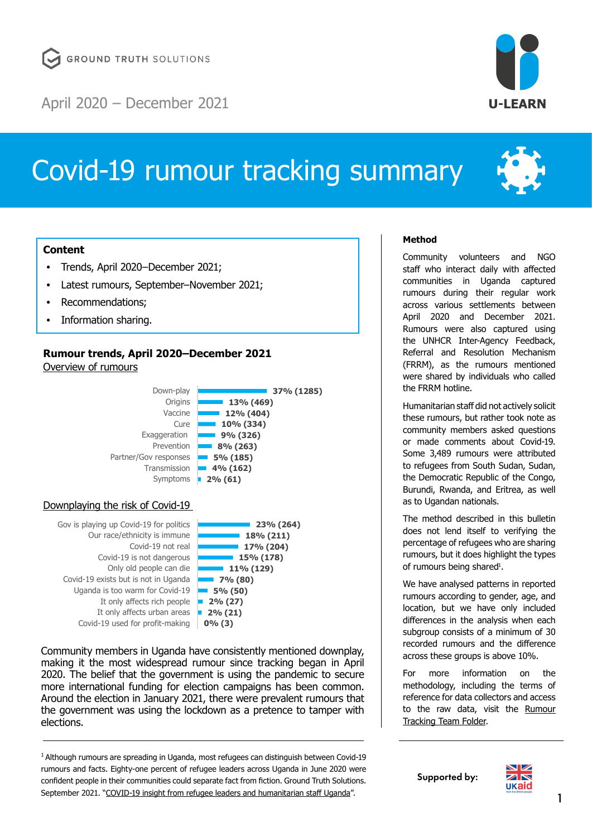

# Covid-19 rumour tracking summary



# **Content**

- [Trends, April 2020–December 2021;](#page-0-0)
- [Latest rumours, September–November 2021](#page-2-0);
- [Recommendations](#page-4-0);
- [Information sharing.](#page-5-0)

# <span id="page-0-0"></span>**Rumour trends, April 2020–December 2021** Overview of rumours



### Downplaying the risk of Covid-19



Community members in Uganda have consistently mentioned downplay, making it the most widespread rumour since tracking began in April 2020. The belief that the government is using the pandemic to secure more international funding for election campaigns has been common. Around the election in January 2021, there were prevalent rumours that the government was using the lockdown as a pretence to tamper with elections.

<sup>1</sup> Although rumours are spreading in Uganda, most refugees can distinguish between Covid-19 rumours and facts. Eighty-one percent of refugee leaders across Uganda in June 2020 were confident people in their communities could separate fact from fiction. Ground Truth Solutions. September 2021. "[COVID-19 insight from refugee leaders and humanitarian staff Uganda](https://groundtruthsolutions.org/wp-content/uploads/2021/11/COVID_19_bulletin_uganda-R2.pdf)".

# **Method**

Community volunteers and NGO staff who interact daily with affected communities in Uganda captured rumours during their regular work across various settlements between April 2020 and December 2021. Rumours were also captured using the UNHCR Inter-Agency Feedback, Referral and Resolution Mechanism (FRRM), as the rumours mentioned were shared by individuals who called the FRRM hotline.

Humanitarian staff did not actively solicit these rumours, but rather took note as community members asked questions or made comments about Covid-19. Some 3,489 rumours were attributed to refugees from South Sudan, Sudan, the Democratic Republic of the Congo, Burundi, Rwanda, and Eritrea, as well as to Ugandan nationals.

The method described in this bulletin does not lend itself to verifying the percentage of refugees who are sharing rumours, but it does highlight the types of rumours being shared<sup>1</sup>.

We have analysed patterns in reported rumours according to gender, age, and location, but we have only included differences in the analysis when each subgroup consists of a minimum of 30 recorded rumours and the difference across these groups is above 10%.

For more information on the methodology, including the terms of reference for data collectors and access to the raw data, visit the [Rumour](https://drive.google.com/drive/folders/19IM8_Fu-K8QuX3Q3DJRBWsrAHLpx10ES)  [Tracking Team Folder.](https://drive.google.com/drive/folders/19IM8_Fu-K8QuX3Q3DJRBWsrAHLpx10ES)

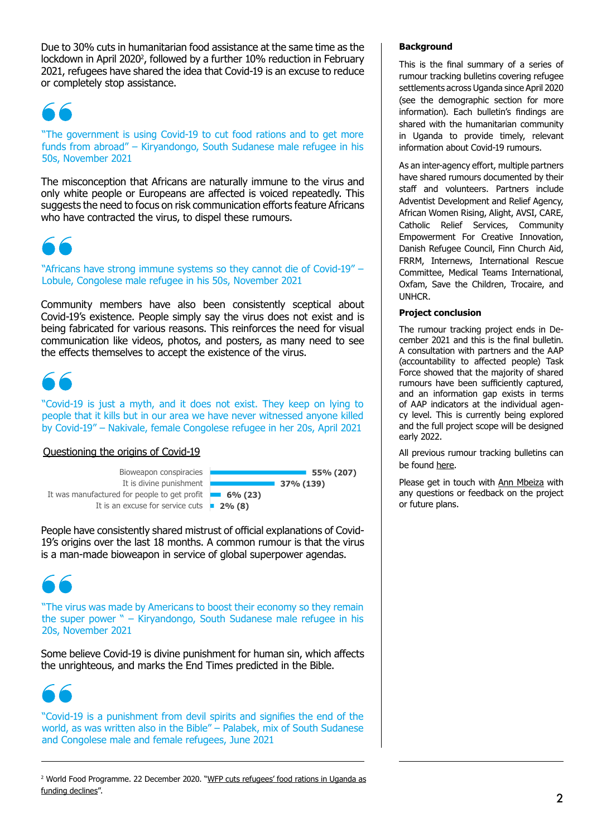Due to 30% cuts in humanitarian food assistance at the same time as the lockdown in April 2020<sup>2</sup>, followed by a further 10% reduction in February 2021, refugees have shared the idea that Covid-19 is an excuse to reduce or completely stop assistance.

"The government is using Covid-19 to cut food rations and to get more funds from abroad" – Kiryandongo, South Sudanese male refugee in his 50s, November 2021

The misconception that Africans are naturally immune to the virus and only white people or Europeans are affected is voiced repeatedly. This suggests the need to focus on risk communication efforts feature Africans who have contracted the virus, to dispel these rumours.



"Africans have strong immune systems so they cannot die of Covid-19" – Lobule, Congolese male refugee in his 50s, November 2021

Community members have also been consistently sceptical about Covid-19's existence. People simply say the virus does not exist and is being fabricated for various reasons. This reinforces the need for visual communication like videos, photos, and posters, as many need to see the effects themselves to accept the existence of the virus.



"Covid-19 is just a myth, and it does not exist. They keep on lying to people that it kills but in our area we have never witnessed anyone killed by Covid-19" – Nakivale, female Congolese refugee in her 20s, April 2021

# Questioning the origins of Covid-19

**2% (8)** It is an excuse for service cuts **6% (23)** It was manufactured for people to get profit It is divine punishment Bioweapon conspiracies



People have consistently shared mistrust of official explanations of Covid-19's origins over the last 18 months. A common rumour is that the virus is a man-made bioweapon in service of global superpower agendas.



"The virus was made by Americans to boost their economy so they remain the super power " – Kiryandongo, South Sudanese male refugee in his 20s, November 2021

Some believe Covid-19 is divine punishment for human sin, which affects the unrighteous, and marks the End Times predicted in the Bible.



"Covid-19 is a punishment from devil spirits and signifies the end of the world, as was written also in the Bible" – Palabek, mix of South Sudanese and Congolese male and female refugees, June 2021

### **Background**

This is the final summary of a series of rumour tracking bulletins covering refugee settlements across Uganda since April 2020 (see the demographic section for more information). Each bulletin's findings are shared with the humanitarian community in Uganda to provide timely, relevant information about Covid-19 rumours.

As an inter-agency effort, multiple partners have shared rumours documented by their staff and volunteers. Partners include Adventist Development and Relief Agency, African Women Rising, Alight, AVSI, CARE, Catholic Relief Services, Community Empowerment For Creative Innovation, Danish Refugee Council, Finn Church Aid, FRRM, Internews, International Rescue Committee, Medical Teams International, Oxfam, Save the Children, Trocaire, and UNHCR.

### **Project conclusion**

The rumour tracking project ends in December 2021 and this is the final bulletin. A consultation with partners and the AAP (accountability to affected people) Task Force showed that the majority of shared rumours have been sufficiently captured, and an information gap exists in terms of AAP indicators at the individual agency level. This is currently being explored and the full project scope will be designed early 2022.

All previous rumour tracking bulletins can be found [here.](https://ulearn-uganda.org/category/publications/covid-19/)

Please get in touch with [Ann Mbeiza](mailto:ann%40ulearn-uganda.org?subject=) with any questions or feedback on the project or future plans.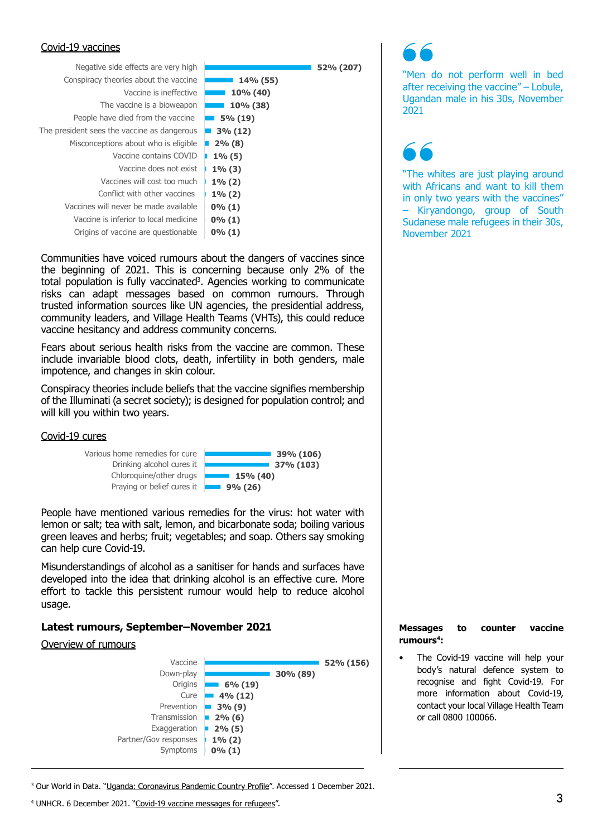### Covid-19 vaccines



Communities have voiced rumours about the dangers of vaccines since the beginning of 2021. This is concerning because only 2% of the total population is fully vaccinated<sup>3</sup>. Agencies working to communicate risks can adapt messages based on common rumours. Through trusted information sources like UN agencies, the presidential address, community leaders, and Village Health Teams (VHTs), this could reduce vaccine hesitancy and address community concerns.

Fears about serious health risks from the vaccine are common. These include invariable blood clots, death, infertility in both genders, male impotence, and changes in skin colour.

Conspiracy theories include beliefs that the vaccine signifies membership of the Illuminati (a secret society); is designed for population control; and will kill you within two years.

### Covid-19 cures



People have mentioned various remedies for the virus: hot water with lemon or salt; tea with salt, lemon, and bicarbonate soda; boiling various green leaves and herbs; fruit; vegetables; and soap. Others say smoking can help cure Covid-19.

Misunderstandings of alcohol as a sanitiser for hands and surfaces have developed into the idea that drinking alcohol is an effective cure. More effort to tackle this persistent rumour would help to reduce alcohol usage.

# <span id="page-2-0"></span>**Latest rumours, September–November 2021**

### Overview of rumours



"Men do not perform well in bed after receiving the vaccine" – Lobule, Ugandan male in his 30s, November 2021

"The whites are just playing around with Africans and want to kill them in only two years with the vaccines" – Kiryandongo, group of South Sudanese male refugees in their 30s, November 2021

**Messages to counter vaccine rumours4:**

The Covid-19 vaccine will help your body's natural defence system to recognise and fight Covid-19. For more information about Covid-19, contact your local Village Health Team or call 0800 100066.

<sup>3</sup> Our World in Data. "<u>[Uganda: Coronavirus Pandemic Country Profile](https://ourworldindata.org/coronavirus/country/uganda)</u>". Accessed 1 December 2021.

<sup>&</sup>lt;sup>4</sup> UNHCR. 6 December 2021. ["Covid-19 vaccine messages for refugees"](https://data2.unhcr.org/en/documents/details/89989).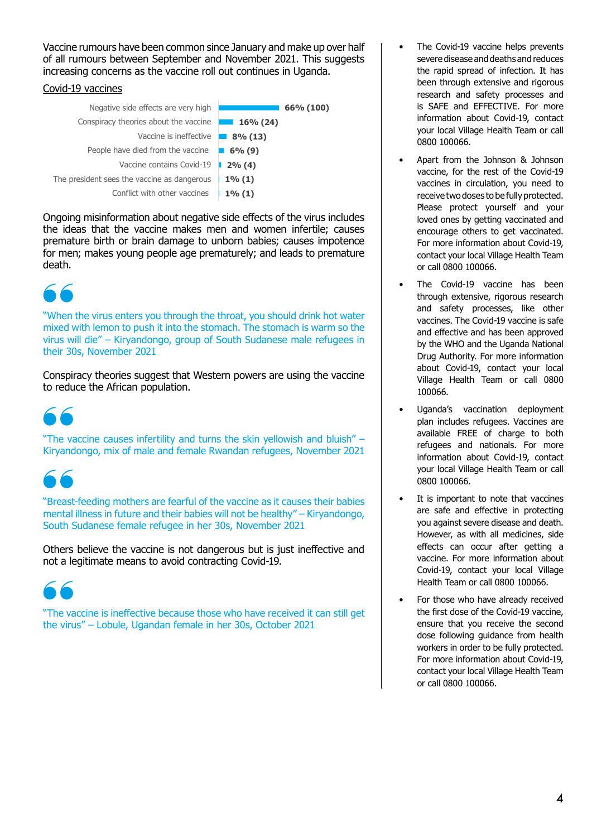Vaccine rumours have been common since January and make up over half of all rumours between September and November 2021. This suggests increasing concerns as the vaccine roll out continues in Uganda.

# Covid-19 vaccines

| Negative side effects are very high         | 66% (100)   |
|---------------------------------------------|-------------|
| Conspiracy theories about the vaccine       | $16\%$ (24) |
| Vaccine is ineffective                      | $8\%$ (13)  |
| People have died from the vaccine           | 6% (9)      |
| Vaccine contains Covid-19                   | $2\%$ (4)   |
| The president sees the vaccine as dangerous | $1\%$ (1)   |
| Conflict with other vaccines                | $1\%$ (1)   |
|                                             |             |

Ongoing misinformation about negative side effects of the virus includes the ideas that the vaccine makes men and women infertile; causes premature birth or brain damage to unborn babies; causes impotence for men; makes young people age prematurely; and leads to premature death.

"When the virus enters you through the throat, you should drink hot water mixed with lemon to push it into the stomach. The stomach is warm so the virus will die" – Kiryandongo, group of South Sudanese male refugees in their 30s, November 2021

Conspiracy theories suggest that Western powers are using the vaccine to reduce the African population.

"The vaccine causes infertility and turns the skin yellowish and bluish" – Kiryandongo, mix of male and female Rwandan refugees, November 2021

"Breast-feeding mothers are fearful of the vaccine as it causes their babies mental illness in future and their babies will not be healthy" – Kiryandongo, South Sudanese female refugee in her 30s, November 2021

Others believe the vaccine is not dangerous but is just ineffective and not a legitimate means to avoid contracting Covid-19.

"The vaccine is ineffective because those who have received it can still get the virus" – Lobule, Ugandan female in her 30s, October 2021

- The Covid-19 vaccine helps prevents severe disease and deaths and reduces the rapid spread of infection. It has been through extensive and rigorous research and safety processes and is SAFE and EFFECTIVE. For more information about Covid-19, contact your local Village Health Team or call 0800 100066.
- Apart from the Johnson & Johnson vaccine, for the rest of the Covid-19 vaccines in circulation, you need to receive two doses to be fully protected. Please protect yourself and your loved ones by getting vaccinated and encourage others to get vaccinated. For more information about Covid-19, contact your local Village Health Team or call 0800 100066.
- The Covid-19 vaccine has been through extensive, rigorous research and safety processes, like other vaccines. The Covid-19 vaccine is safe and effective and has been approved by the WHO and the Uganda National Drug Authority. For more information about Covid-19, contact your local Village Health Team or call 0800 100066.
- Uganda's vaccination deployment plan includes refugees. Vaccines are available FREE of charge to both refugees and nationals. For more information about Covid-19, contact your local Village Health Team or call 0800 100066.
- It is important to note that vaccines are safe and effective in protecting you against severe disease and death. However, as with all medicines, side effects can occur after getting a vaccine. For more information about Covid-19, contact your local Village Health Team or call 0800 100066.
- For those who have already received the first dose of the Covid-19 vaccine, ensure that you receive the second dose following guidance from health workers in order to be fully protected. For more information about Covid-19, contact your local Village Health Team or call 0800 100066.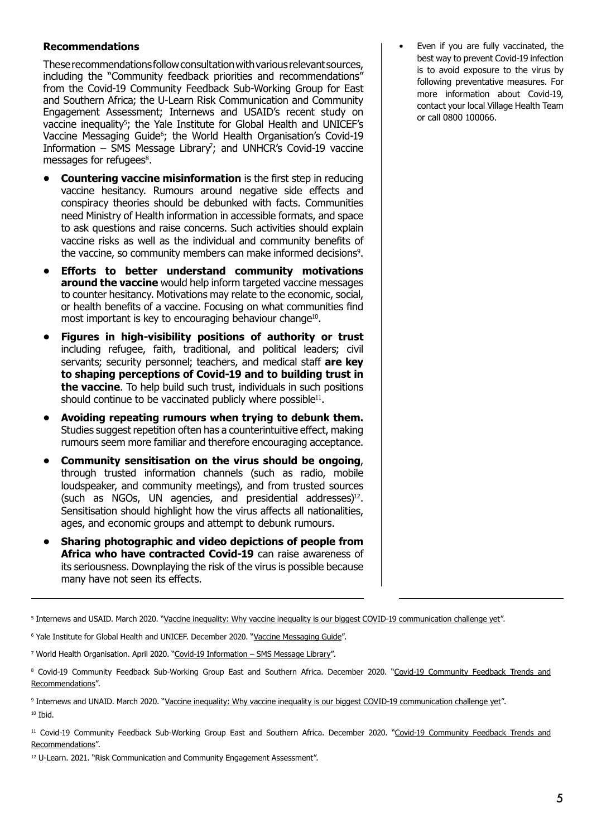# <span id="page-4-0"></span>**Recommendations**

These recommendations follow consultation with various relevant sources, including the "Community feedback priorities and recommendations" from the Covid-19 Community Feedback Sub-Working Group for East and Southern Africa; the U-Learn Risk Communication and Community Engagement Assessment; Internews and USAID's recent study on vaccine inequality<sup>s</sup>; the Yale Institute for Global Health and UNICEF's Vaccine Messaging Guide6 ; the World Health Organisation's Covid-19 Information – SMS Message Library'; and UNHCR's Covid-19 vaccine messages for refugees<sup>8</sup>.

- **• Countering vaccine misinformation** is the first step in reducing vaccine hesitancy. Rumours around negative side effects and conspiracy theories should be debunked with facts. Communities need Ministry of Health information in accessible formats, and space to ask questions and raise concerns. Such activities should explain vaccine risks as well as the individual and community benefits of the vaccine, so community members can make informed decisions<sup>9</sup>.
- **• Efforts to better understand community motivations around the vaccine** would help inform targeted vaccine messages to counter hesitancy. Motivations may relate to the economic, social, or health benefits of a vaccine. Focusing on what communities find most important is key to encouraging behaviour change<sup>10</sup>.
- **• Figures in high-visibility positions of authority or trust** including refugee, faith, traditional, and political leaders; civil servants; security personnel; teachers, and medical staff **are key to shaping perceptions of Covid-19 and to building trust in the vaccine**. To help build such trust, individuals in such positions should continue to be vaccinated publicly where possible<sup>11</sup>.
- **• Avoiding repeating rumours when trying to debunk them.** Studies suggest repetition often has a counterintuitive effect, making rumours seem more familiar and therefore encouraging acceptance.
- **• Community sensitisation on the virus should be ongoing**, through trusted information channels (such as radio, mobile loudspeaker, and community meetings), and from trusted sources (such as NGOs, UN agencies, and presidential addresses) $12$ . Sensitisation should highlight how the virus affects all nationalities, ages, and economic groups and attempt to debunk rumours.
- **• Sharing photographic and video depictions of people from Africa who have contracted Covid-19** can raise awareness of its seriousness. Downplaying the risk of the virus is possible because many have not seen its effects.

<sup>5</sup> Internews and USAID. March 2020. "<u>[Vaccine inequality: Why vaccine inequality is our biggest COVID-19 communication challenge yet](https://internews.org/resource/vaccine-inequality-why-vaccine-inequality-our-biggest-covid-19-communication-challenge-yet/)".</u>

<sup>6</sup> Yale Institute for Global Health and UNICEF. December 2020. "<u>Vaccine Messaging Guide</u>".

<sup>7</sup> World Health Organisation. April 2020. "<u>Covid-19 Information – SMS Message Library</u>".

<sup>8</sup> Covid-19 Community Feedback Sub-Working Group East and Southern Africa. December 2020. "<u>[Covid-19 Community Feedback Trends and](https://docs.google.com/presentation/d/1IIZS3-_D41l23YnHzqVtBBO6KQUv8Ori/edit#slide=id.p1)</u> [Recommendations"](https://docs.google.com/presentation/d/1IIZS3-_D41l23YnHzqVtBBO6KQUv8Ori/edit#slide=id.p1).

<sup>9</sup> Internews and UNAID. March 2020. "<u>[Vaccine inequality: Why vaccine inequality is our biggest COVID-19 communication challenge yet](https://internews.org/resource/vaccine-inequality-why-vaccine-inequality-our-biggest-covid-19-communication-challenge-yet/)".</u> 10 Thid.

<sup>11</sup> Covid-19 Community Feedback Sub-Working Group East and Southern Africa. December 2020. "[Covid-19 Community Feedback Trends and](https://docs.google.com/presentation/d/1IIZS3-_D41l23YnHzqVtBBO6KQUv8Ori/edit#slide=id.p1) [Recommendations"](https://docs.google.com/presentation/d/1IIZS3-_D41l23YnHzqVtBBO6KQUv8Ori/edit#slide=id.p1).

<sup>12</sup> U-Learn. 2021. "Risk Communication and Community Engagement Assessment".

• Even if you are fully vaccinated, the best way to prevent Covid-19 infection is to avoid exposure to the virus by following preventative measures. For more information about Covid-19, contact your local Village Health Team or call 0800 100066.